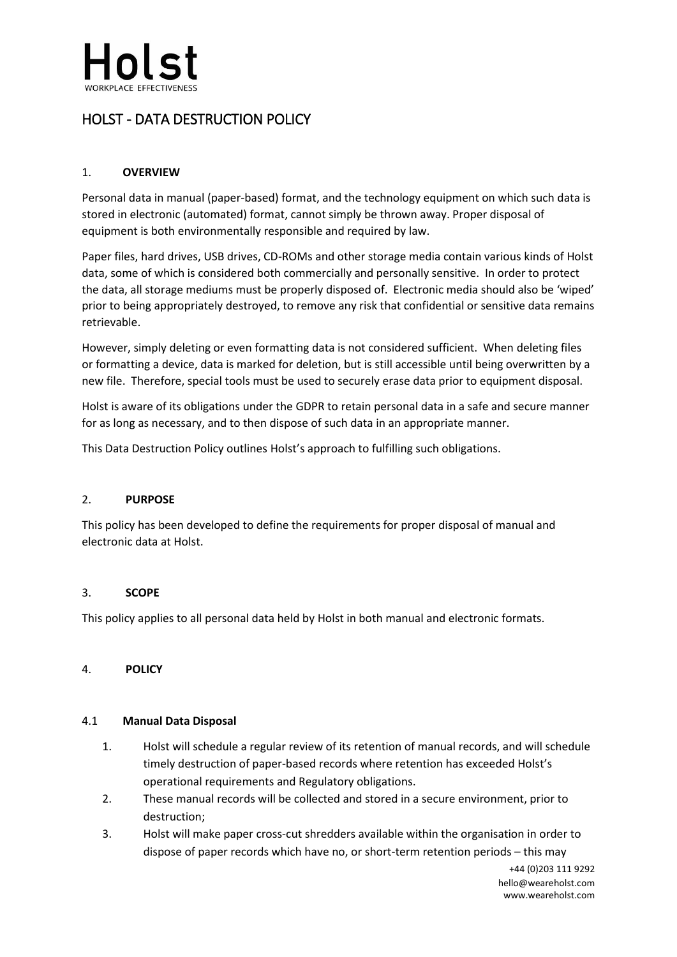

# HOLST - DATA DESTRUCTION POLICY

## 1. **OVERVIEW**

Personal data in manual (paper-based) format, and the technology equipment on which such data is stored in electronic (automated) format, cannot simply be thrown away. Proper disposal of equipment is both environmentally responsible and required by law.

Paper files, hard drives, USB drives, CD-ROMs and other storage media contain various kinds of Holst data, some of which is considered both commercially and personally sensitive. In order to protect the data, all storage mediums must be properly disposed of. Electronic media should also be 'wiped' prior to being appropriately destroyed, to remove any risk that confidential or sensitive data remains retrievable.

However, simply deleting or even formatting data is not considered sufficient. When deleting files or formatting a device, data is marked for deletion, but is still accessible until being overwritten by a new file. Therefore, special tools must be used to securely erase data prior to equipment disposal.

Holst is aware of its obligations under the GDPR to retain personal data in a safe and secure manner for as long as necessary, and to then dispose of such data in an appropriate manner.

This Data Destruction Policy outlines Holst's approach to fulfilling such obligations.

#### 2. **PURPOSE**

This policy has been developed to define the requirements for proper disposal of manual and electronic data at Holst.

#### 3. **SCOPE**

This policy applies to all personal data held by Holst in both manual and electronic formats.

## 4. **POLICY**

#### 4.1 **Manual Data Disposal**

- 1. Holst will schedule a regular review of its retention of manual records, and will schedule timely destruction of paper-based records where retention has exceeded Holst's operational requirements and Regulatory obligations.
- 2. These manual records will be collected and stored in a secure environment, prior to destruction;
- 3. Holst will make paper cross-cut shredders available within the organisation in order to dispose of paper records which have no, or short-term retention periods – this may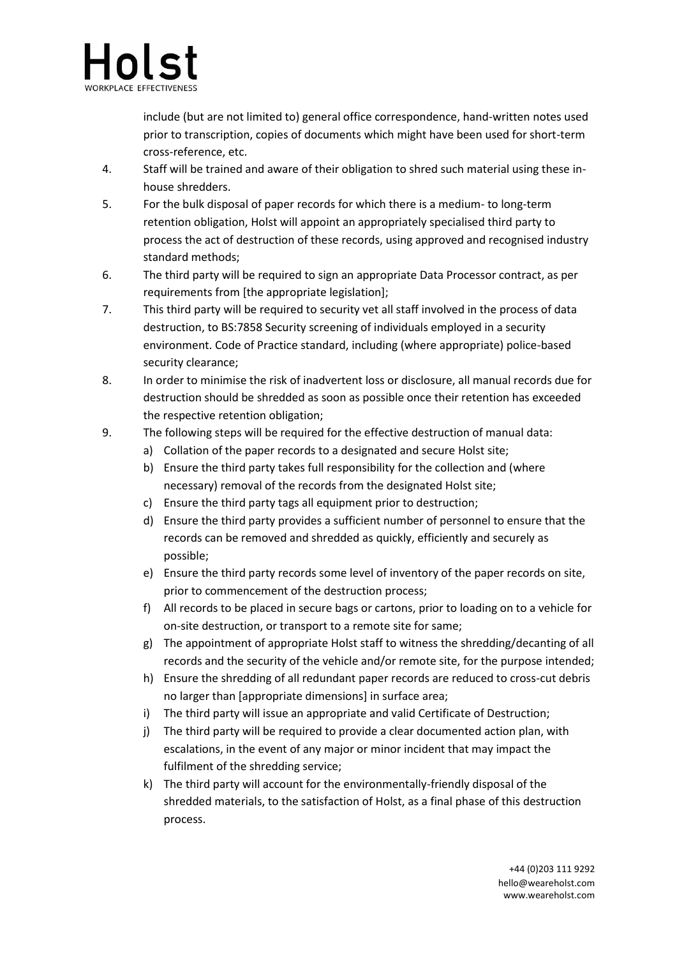

include (but are not limited to) general office correspondence, hand-written notes used prior to transcription, copies of documents which might have been used for short-term cross-reference, etc.

- 4. Staff will be trained and aware of their obligation to shred such material using these inhouse shredders.
- 5. For the bulk disposal of paper records for which there is a medium- to long-term retention obligation, Holst will appoint an appropriately specialised third party to process the act of destruction of these records, using approved and recognised industry standard methods;
- 6. The third party will be required to sign an appropriate Data Processor contract, as per requirements from [the appropriate legislation];
- 7. This third party will be required to security vet all staff involved in the process of data destruction, to BS:7858 Security screening of individuals employed in a security environment. Code of Practice standard, including (where appropriate) police-based security clearance;
- 8. In order to minimise the risk of inadvertent loss or disclosure, all manual records due for destruction should be shredded as soon as possible once their retention has exceeded the respective retention obligation;
- 9. The following steps will be required for the effective destruction of manual data:
	- a) Collation of the paper records to a designated and secure Holst site;
	- b) Ensure the third party takes full responsibility for the collection and (where necessary) removal of the records from the designated Holst site;
	- c) Ensure the third party tags all equipment prior to destruction;
	- d) Ensure the third party provides a sufficient number of personnel to ensure that the records can be removed and shredded as quickly, efficiently and securely as possible;
	- e) Ensure the third party records some level of inventory of the paper records on site, prior to commencement of the destruction process;
	- f) All records to be placed in secure bags or cartons, prior to loading on to a vehicle for on-site destruction, or transport to a remote site for same;
	- g) The appointment of appropriate Holst staff to witness the shredding/decanting of all records and the security of the vehicle and/or remote site, for the purpose intended;
	- h) Ensure the shredding of all redundant paper records are reduced to cross-cut debris no larger than [appropriate dimensions] in surface area;
	- i) The third party will issue an appropriate and valid Certificate of Destruction;
	- j) The third party will be required to provide a clear documented action plan, with escalations, in the event of any major or minor incident that may impact the fulfilment of the shredding service;
	- k) The third party will account for the environmentally-friendly disposal of the shredded materials, to the satisfaction of Holst, as a final phase of this destruction process.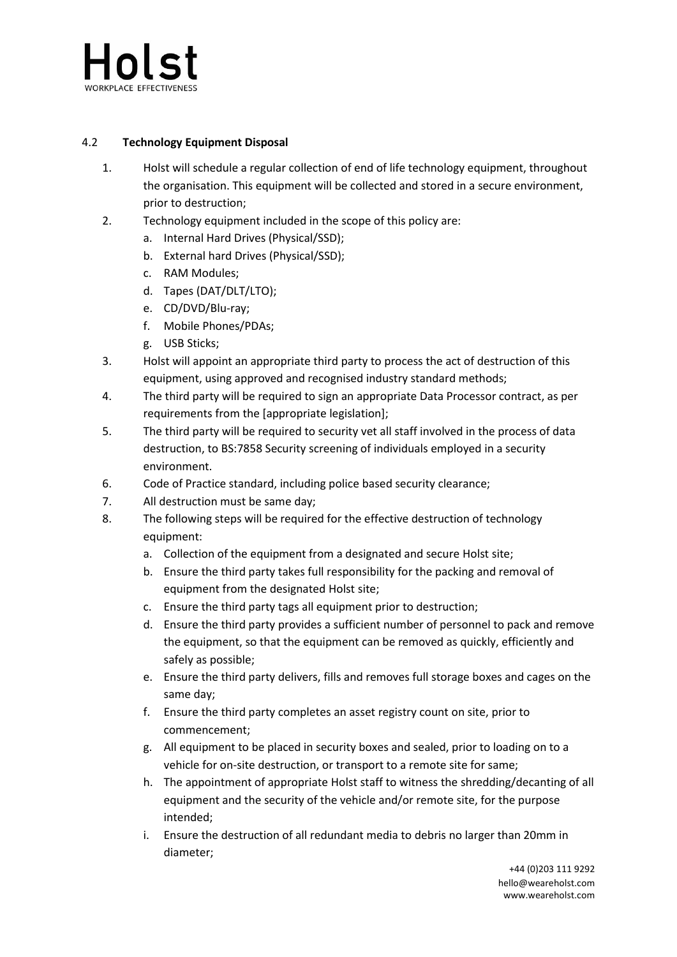

## 4.2 **Technology Equipment Disposal**

- 1. Holst will schedule a regular collection of end of life technology equipment, throughout the organisation. This equipment will be collected and stored in a secure environment, prior to destruction;
- 2. Technology equipment included in the scope of this policy are:
	- a. Internal Hard Drives (Physical/SSD);
	- b. External hard Drives (Physical/SSD);
	- c. RAM Modules;
	- d. Tapes (DAT/DLT/LTO);
	- e. CD/DVD/Blu-ray;
	- f. Mobile Phones/PDAs;
	- g. USB Sticks;
- 3. Holst will appoint an appropriate third party to process the act of destruction of this equipment, using approved and recognised industry standard methods;
- 4. The third party will be required to sign an appropriate Data Processor contract, as per requirements from the [appropriate legislation];
- 5. The third party will be required to security vet all staff involved in the process of data destruction, to BS:7858 Security screening of individuals employed in a security environment.
- 6. Code of Practice standard, including police based security clearance;
- 7. All destruction must be same day;
- 8. The following steps will be required for the effective destruction of technology equipment:
	- a. Collection of the equipment from a designated and secure Holst site;
	- b. Ensure the third party takes full responsibility for the packing and removal of equipment from the designated Holst site;
	- c. Ensure the third party tags all equipment prior to destruction;
	- d. Ensure the third party provides a sufficient number of personnel to pack and remove the equipment, so that the equipment can be removed as quickly, efficiently and safely as possible;
	- e. Ensure the third party delivers, fills and removes full storage boxes and cages on the same day;
	- f. Ensure the third party completes an asset registry count on site, prior to commencement;
	- g. All equipment to be placed in security boxes and sealed, prior to loading on to a vehicle for on-site destruction, or transport to a remote site for same;
	- h. The appointment of appropriate Holst staff to witness the shredding/decanting of all equipment and the security of the vehicle and/or remote site, for the purpose intended;
	- i. Ensure the destruction of all redundant media to debris no larger than 20mm in diameter;